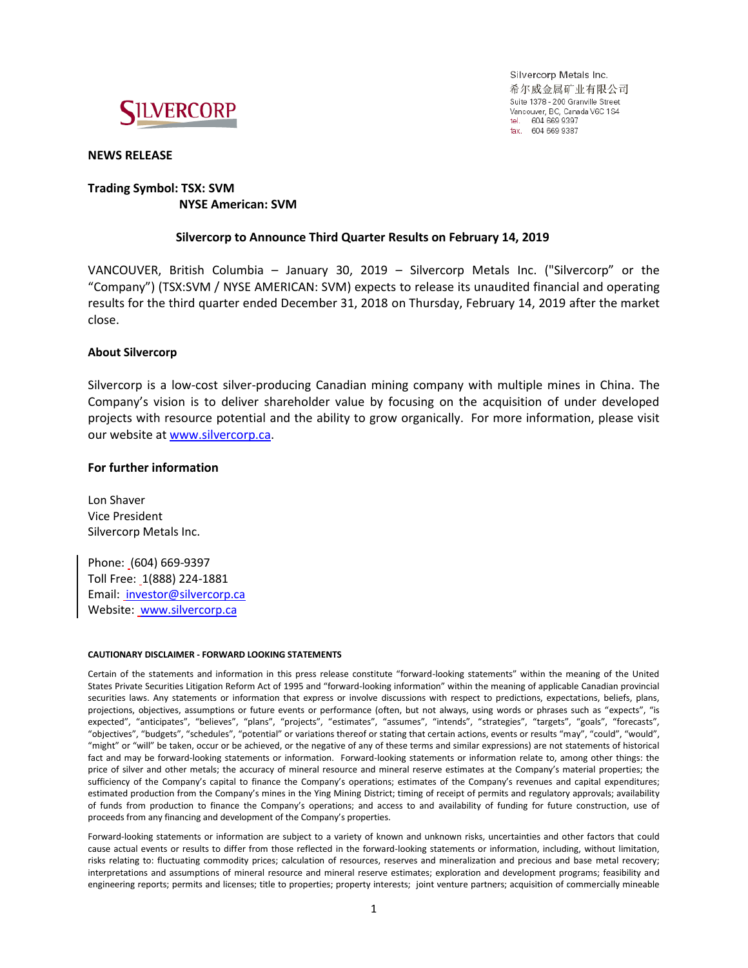

Silvercorp Metals Inc. 希尔威金属矿业有限公司 Suite 1378 - 200 Granville Street Vancouver, BC, Canada V6C 1S4 tel. 604 669 9397 fax. 604 669 9387

# **NEWS RELEASE**

# **Trading Symbol: TSX: SVM NYSE American: SVM**

# **Silvercorp to Announce Third Quarter Results on February 14, 2019**

VANCOUVER, British Columbia – January 30, 2019 – Silvercorp Metals Inc. ("Silvercorp" or the "Company") (TSX:SVM / NYSE AMERICAN: SVM) expects to release its unaudited financial and operating results for the third quarter ended December 31, 2018 on Thursday, February 14, 2019 after the market close.

## **About Silvercorp**

Silvercorp is a low-cost silver-producing Canadian mining company with multiple mines in China. The Company's vision is to deliver shareholder value by focusing on the acquisition of under developed projects with resource potential and the ability to grow organically. For more information, please visit our website at [www.silvercorp.ca.](http://www.silvercorp.ca/)

## **For further information**

Lon Shaver Vice President Silvercorp Metals Inc.

Phone: (604) 669-9397 Toll Free: 1(888) 224-1881 Email: [investor@silvercorp.ca](mailto:investor@silvercorp.ca) Website: [www.silvercorp.ca](http://www.silvercorp.ca/)

#### **CAUTIONARY DISCLAIMER - FORWARD LOOKING STATEMENTS**

Certain of the statements and information in this press release constitute "forward-looking statements" within the meaning of the United States Private Securities Litigation Reform Act of 1995 and "forward-looking information" within the meaning of applicable Canadian provincial securities laws. Any statements or information that express or involve discussions with respect to predictions, expectations, beliefs, plans, projections, objectives, assumptions or future events or performance (often, but not always, using words or phrases such as "expects", "is expected", "anticipates", "believes", "plans", "projects", "estimates", "assumes", "intends", "strategies", "targets", "goals", "forecasts", "objectives", "budgets", "schedules", "potential" or variations thereof or stating that certain actions, events or results "may", "could", "would", "might" or "will" be taken, occur or be achieved, or the negative of any of these terms and similar expressions) are not statements of historical fact and may be forward-looking statements or information. Forward-looking statements or information relate to, among other things: the price of silver and other metals; the accuracy of mineral resource and mineral reserve estimates at the Company's material properties; the sufficiency of the Company's capital to finance the Company's operations; estimates of the Company's revenues and capital expenditures; estimated production from the Company's mines in the Ying Mining District; timing of receipt of permits and regulatory approvals; availability of funds from production to finance the Company's operations; and access to and availability of funding for future construction, use of proceeds from any financing and development of the Company's properties.

Forward-looking statements or information are subject to a variety of known and unknown risks, uncertainties and other factors that could cause actual events or results to differ from those reflected in the forward-looking statements or information, including, without limitation, risks relating to: fluctuating commodity prices; calculation of resources, reserves and mineralization and precious and base metal recovery; interpretations and assumptions of mineral resource and mineral reserve estimates; exploration and development programs; feasibility and engineering reports; permits and licenses; title to properties; property interests; joint venture partners; acquisition of commercially mineable